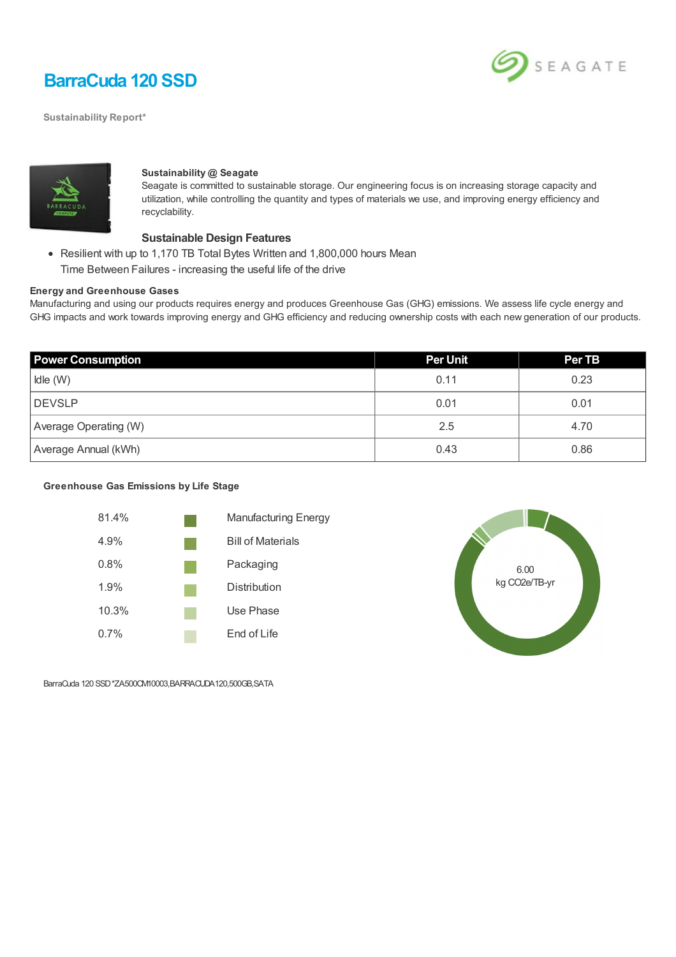

**Sustainability Report\***





#### **Sustainability @ Seagate**

Seagate is committed to sustainable storage. Our engineering focus is on increasing storage capacity and utilization, while controlling the quantity and types of materials we use, and improving energy efficiency and recyclability.

#### **Sustainable Design Features**

Resilient with up to 1,170 TB Total Bytes Written and 1,800,000 hours Mean Time Between Failures - increasing the useful life of the drive

### **Energy and Greenhouse Gases**

Manufacturing and using our products requires energy and produces Greenhouse Gas (GHG) emissions. We assess life cycle energy and GHG impacts and work towards improving energy and GHG efficiency and reducing ownership costs with each new generation of our products.

| <b>Power Consumption</b> | <b>Per Unit</b> | <b>Per TB</b> |
|--------------------------|-----------------|---------------|
| Idle (W)                 | 0.11            | 0.23          |
| DEVSLP                   | 0.01            | 0.01          |
| Average Operating (W)    | 2.5             | 4.70          |
| Average Annual (kWh)     | 0.43            | 0.86          |

#### **Greenhouse Gas Emissions by Life Stage**





BarraCuda 120 SSD\*ZA500CM10003,BARRACUDA120,500GB,SATA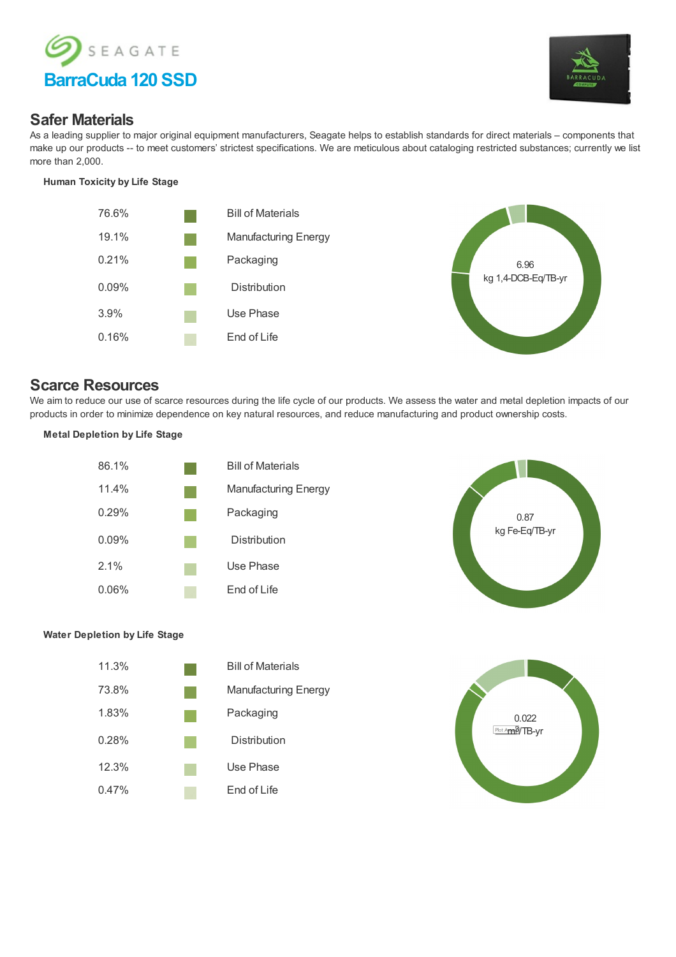



## **Safer Materials**

As a leading supplier to major original equipment manufacturers, Seagate helps to establish standards for direct materials – components that make up our products -- to meet customers' strictest specifications. We are meticulous about cataloging restricted substances; currently we list more than 2,000.

#### **Human Toxicity by Life Stage**





# **Scarce Resources**

We aim to reduce our use of scarce resources during the life cycle of our products. We assess the water and metal depletion impacts of our products in order to minimize dependence on key natural resources, and reduce manufacturing and product ownership costs.

### **Metal Depletion by Life Stage**





### **Water Depletion by Life Stage**